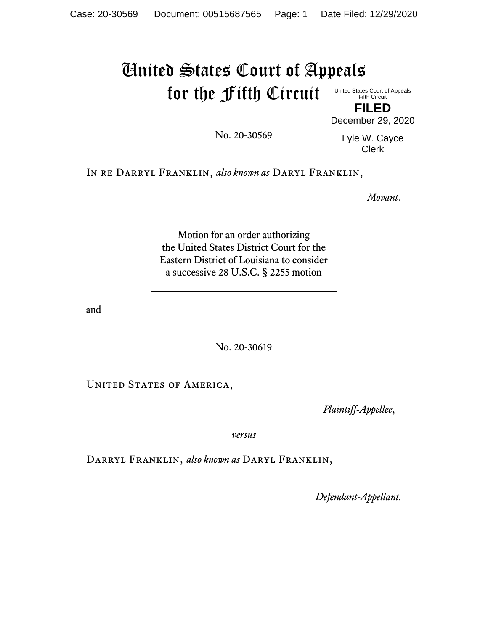## United States Court of Appeals for the Fifth Circuit United States Court of Appeals Fifth Circuit

No. 20-30569

Lyle W. Cayce Clerk

**FILED** December 29, 2020

In re Darryl Franklin, *also known as* Daryl Franklin,

*Movant*.

Motion for an order authorizing the United States District Court for the Eastern District of Louisiana to consider a successive 28 U.S.C. § 2255 motion

and

No. 20-30619

UNITED STATES OF AMERICA,

P*laintiff-Appellee*,

*versus*

Darryl Franklin, *also known as* Daryl Franklin,

*Defendant-Appellant.*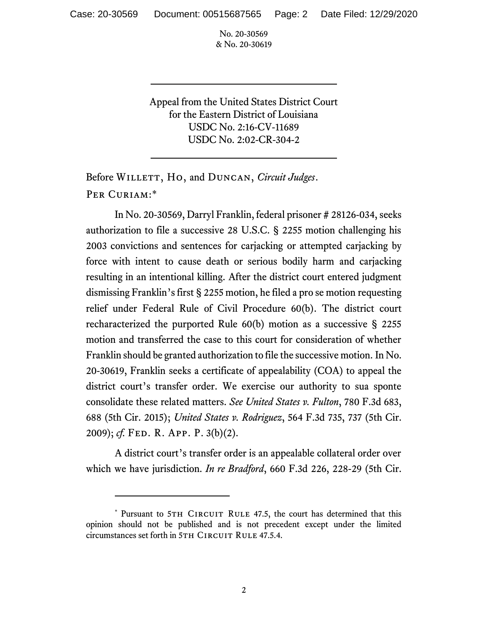No. 20-30569 & No. 20-30619

Appeal from the United States District Court for the Eastern District of Louisiana USDC No. 2:16-CV-11689 USDC No. 2:02-CR-304-2

Before WILLETT, Ho, and DUNCAN, *Circuit Judges*. Per Curiam:\*

In No. 20-30569, Darryl Franklin, federal prisoner # 28126-034, seeks authorization to file a successive 28 U.S.C. § 2255 motion challenging his 2003 convictions and sentences for carjacking or attempted carjacking by force with intent to cause death or serious bodily harm and carjacking resulting in an intentional killing. After the district court entered judgment dismissing Franklin's first § 2255 motion, he filed a pro se motion requesting relief under Federal Rule of Civil Procedure 60(b). The district court recharacterized the purported Rule  $60(b)$  motion as a successive § 2255 motion and transferred the case to this court for consideration of whether Franklin should be granted authorization to file the successive motion. In No. 20-30619, Franklin seeks a certificate of appealability (COA) to appeal the district court's transfer order. We exercise our authority to sua sponte consolidate these related matters. *See United States v. Fulton*, 780 F.3d 683, 688 (5th Cir. 2015); *United States v. Rodriguez*, 564 F.3d 735, 737 (5th Cir. 2009); *cf.* Fed. R. App. P. 3(b)(2).

A district court's transfer order is an appealable collateral order over which we have jurisdiction. *In re Bradford*, 660 F.3d 226, 228-29 (5th Cir.

<sup>\*</sup> Pursuant to 5TH CIRCUIT RULE 47.5, the court has determined that this opinion should not be published and is not precedent except under the limited circumstances set forth in 5TH CIRCUIT RULE 47.5.4.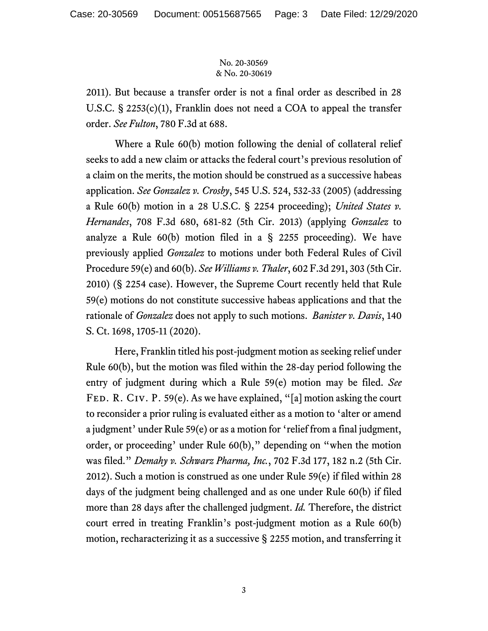## No. 20-30569 & No. 20-30619

2011). But because a transfer order is not a final order as described in 28 U.S.C. § 2253(c)(1), Franklin does not need a COA to appeal the transfer order. *See Fulton*, 780 F.3d at 688.

Where a Rule 60(b) motion following the denial of collateral relief seeks to add a new claim or attacks the federal court's previous resolution of a claim on the merits, the motion should be construed as a successive habeas application. *See Gonzalez v. Crosby*, 545 U.S. 524, 532-33 (2005) (addressing a Rule 60(b) motion in a 28 U.S.C. § 2254 proceeding); *United States v. Hernandes*, 708 F.3d 680, 681-82 (5th Cir. 2013) (applying *Gonzalez* to analyze a Rule 60(b) motion filed in a § 2255 proceeding). We have previously applied *Gonzalez* to motions under both Federal Rules of Civil Procedure 59(e) and 60(b). *See Williams v. Thaler*, 602 F.3d 291, 303 (5th Cir. 2010) (§ 2254 case). However, the Supreme Court recently held that Rule 59(e) motions do not constitute successive habeas applications and that the rationale of *Gonzalez* does not apply to such motions. *Banister v. Davis*, 140 S. Ct. 1698, 1705-11 (2020).

Here, Franklin titled his post-judgment motion as seeking relief under Rule 60(b), but the motion was filed within the 28-day period following the entry of judgment during which a Rule 59(e) motion may be filed. *See* FED. R. CIV. P. 59(e). As we have explained, "[a] motion asking the court to reconsider a prior ruling is evaluated either as a motion to 'alter or amend a judgment' under Rule 59(e) or as a motion for 'relief from a final judgment, order, or proceeding' under Rule 60(b)," depending on "when the motion was filed." *Demahy v. Schwarz Pharma, Inc.*, 702 F.3d 177, 182 n.2 (5th Cir. 2012). Such a motion is construed as one under Rule 59(e) if filed within 28 days of the judgment being challenged and as one under Rule 60(b) if filed more than 28 days after the challenged judgment. *Id.* Therefore, the district court erred in treating Franklin's post-judgment motion as a Rule 60(b) motion, recharacterizing it as a successive § 2255 motion, and transferring it